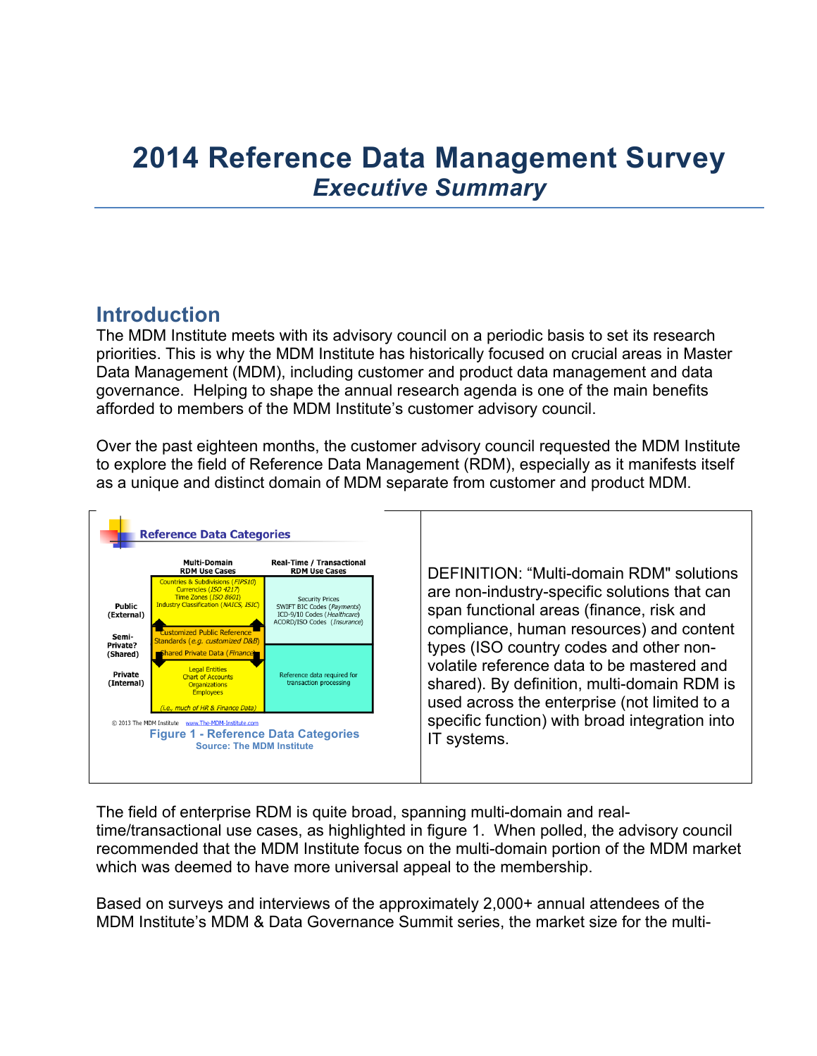# **2014 Reference Data Management Survey** *Executive Summary*

# **Introduction**

The MDM Institute meets with its advisory council on a periodic basis to set its research priorities. This is why the MDM Institute has historically focused on crucial areas in Master Data Management (MDM), including customer and product data management and data governance. Helping to shape the annual research agenda is one of the main benefits afforded to members of the MDM Institute's customer advisory council.

Over the past eighteen months, the customer advisory council requested the MDM Institute to explore the field of Reference Data Management (RDM), especially as it manifests itself as a unique and distinct domain of MDM separate from customer and product MDM.



The field of enterprise RDM is quite broad, spanning multi-domain and realtime/transactional use cases, as highlighted in figure 1. When polled, the advisory council recommended that the MDM Institute focus on the multi-domain portion of the MDM market which was deemed to have more universal appeal to the membership.

Based on surveys and interviews of the approximately 2,000+ annual attendees of the MDM Institute's MDM & Data Governance Summit series, the market size for the multi-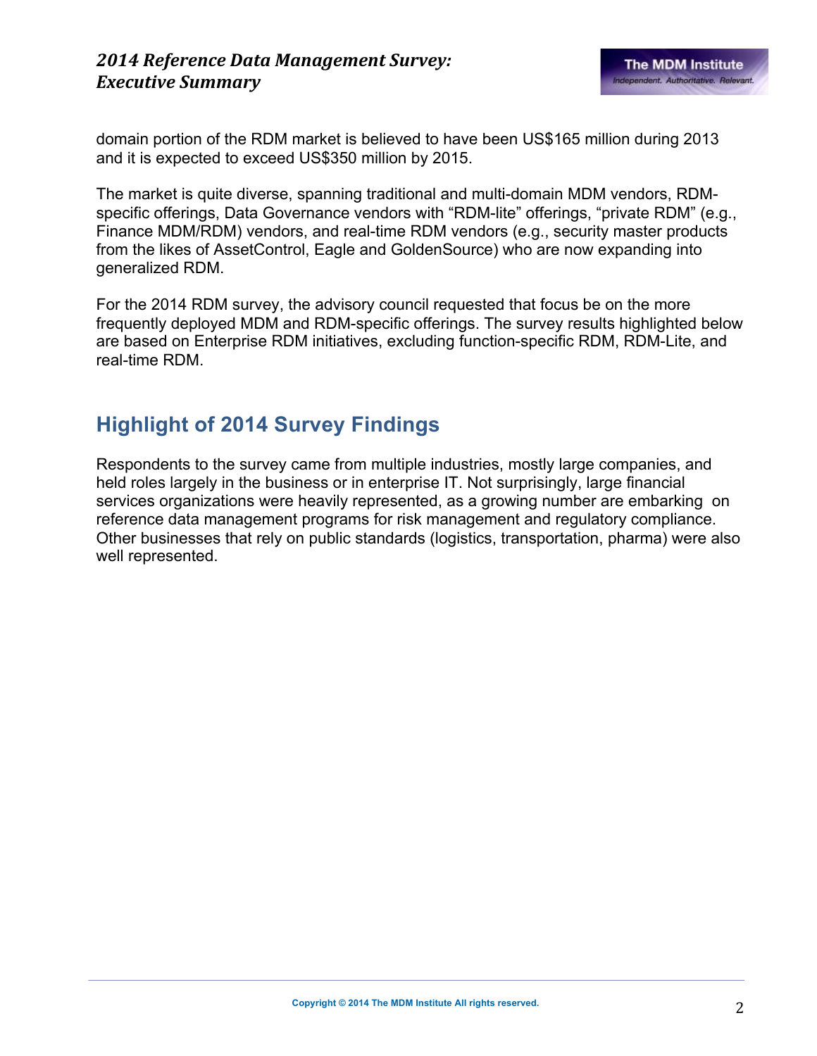#### *2014 Reference Data Management Survey: Executive Summary*

domain portion of the RDM market is believed to have been US\$165 million during 2013 and it is expected to exceed US\$350 million by 2015.

The market is quite diverse, spanning traditional and multi-domain MDM vendors, RDMspecific offerings, Data Governance vendors with "RDM-lite" offerings, "private RDM" (e.g., Finance MDM/RDM) vendors, and real-time RDM vendors (e.g., security master products from the likes of AssetControl, Eagle and GoldenSource) who are now expanding into generalized RDM.

For the 2014 RDM survey, the advisory council requested that focus be on the more frequently deployed MDM and RDM-specific offerings. The survey results highlighted below are based on Enterprise RDM initiatives, excluding function-specific RDM, RDM-Lite, and real-time RDM.

# **Highlight of 2014 Survey Findings**

Respondents to the survey came from multiple industries, mostly large companies, and held roles largely in the business or in enterprise IT. Not surprisingly, large financial services organizations were heavily represented, as a growing number are embarking on reference data management programs for risk management and regulatory compliance. Other businesses that rely on public standards (logistics, transportation, pharma) were also well represented.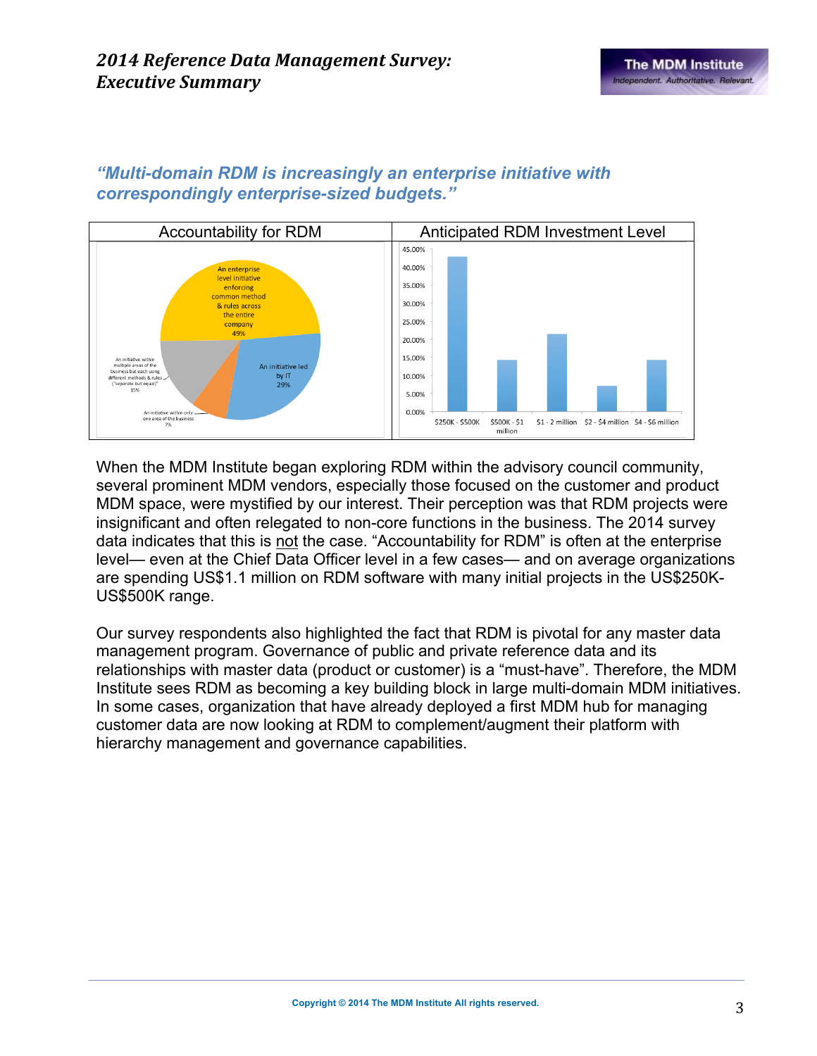

#### *"Multi-domain RDM is increasingly an enterprise initiative with correspondingly enterprise-sized budgets."*

When the MDM Institute began exploring RDM within the advisory council community, several prominent MDM vendors, especially those focused on the customer and product MDM space, were mystified by our interest. Their perception was that RDM projects were insignificant and often relegated to non-core functions in the business. The 2014 survey data indicates that this is not the case. "Accountability for RDM" is often at the enterprise level— even at the Chief Data Officer level in a few cases— and on average organizations are spending US\$1.1 million on RDM software with many initial projects in the US\$250K-US\$500K range.

Our survey respondents also highlighted the fact that RDM is pivotal for any master data management program. Governance of public and private reference data and its relationships with master data (product or customer) is a "must-have". Therefore, the MDM Institute sees RDM as becoming a key building block in large multi-domain MDM initiatives. In some cases, organization that have already deployed a first MDM hub for managing customer data are now looking at RDM to complement/augment their platform with hierarchy management and governance capabilities.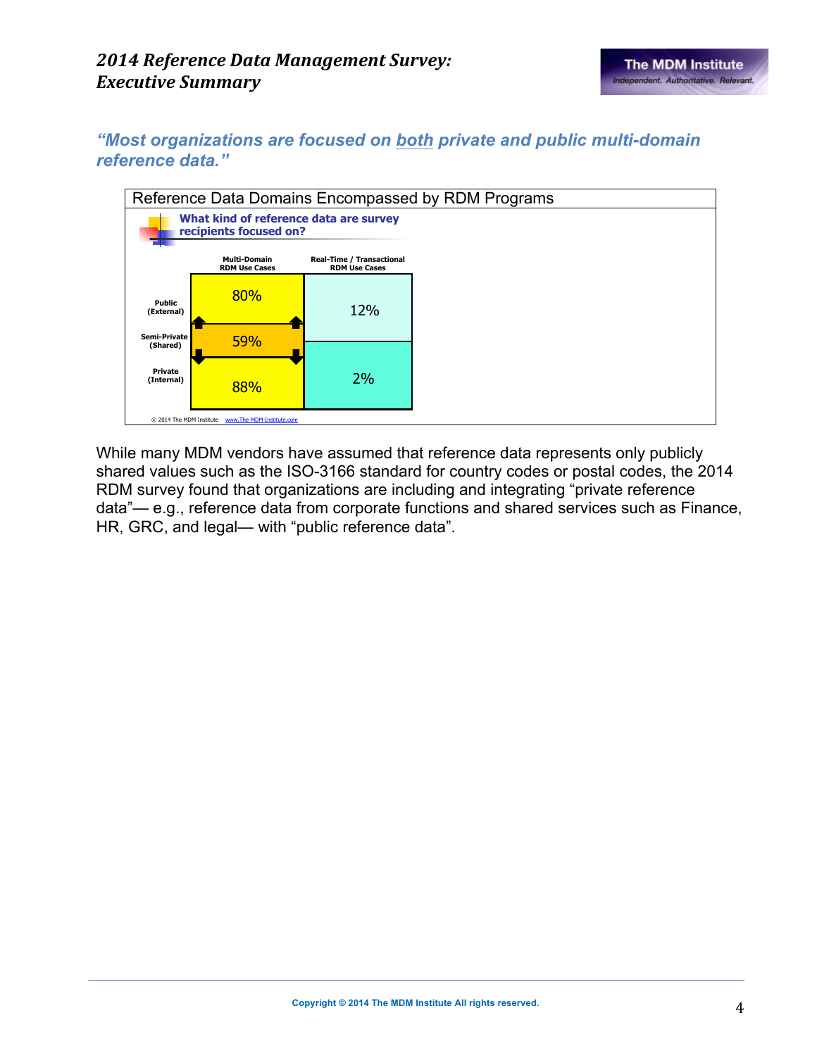*"Most organizations are focused on both private and public multi-domain reference data."*



While many MDM vendors have assumed that reference data represents only publicly shared values such as the ISO-3166 standard for country codes or postal codes, the 2014 RDM survey found that organizations are including and integrating "private reference data"— e.g., reference data from corporate functions and shared services such as Finance, HR, GRC, and legal— with "public reference data".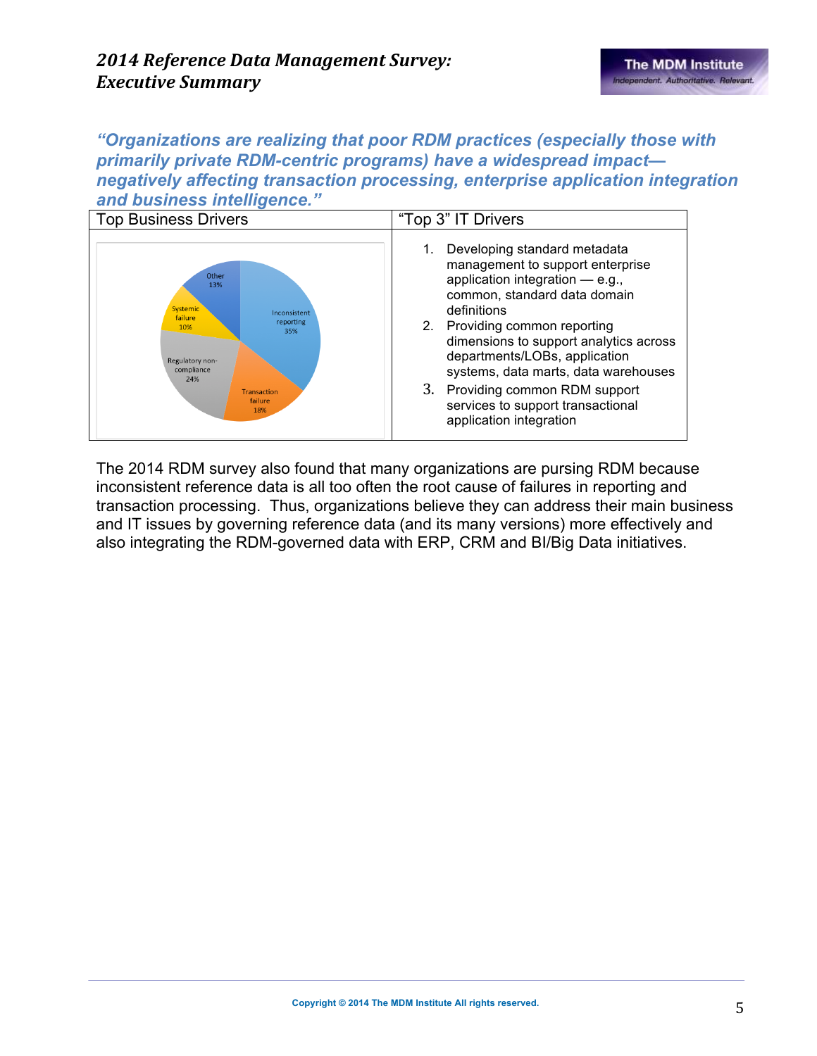*"Organizations are realizing that poor RDM practices (especially those with primarily private RDM-centric programs) have a widespread impact negatively affecting transaction processing, enterprise application integration and business intelligence."*



The 2014 RDM survey also found that many organizations are pursing RDM because inconsistent reference data is all too often the root cause of failures in reporting and transaction processing. Thus, organizations believe they can address their main business and IT issues by governing reference data (and its many versions) more effectively and also integrating the RDM-governed data with ERP, CRM and BI/Big Data initiatives.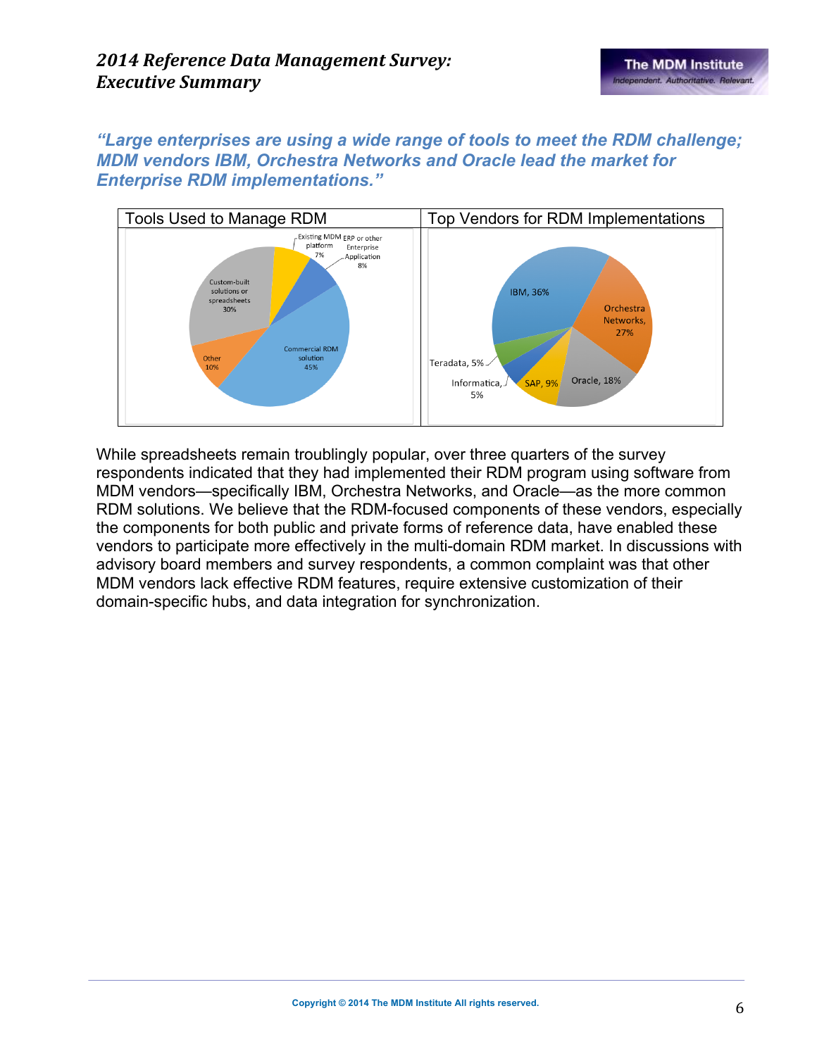*"Large enterprises are using a wide range of tools to meet the RDM challenge; MDM vendors IBM, Orchestra Networks and Oracle lead the market for Enterprise RDM implementations."*



While spreadsheets remain troublingly popular, over three quarters of the survey respondents indicated that they had implemented their RDM program using software from MDM vendors—specifically IBM, Orchestra Networks, and Oracle—as the more common RDM solutions. We believe that the RDM-focused components of these vendors, especially the components for both public and private forms of reference data, have enabled these vendors to participate more effectively in the multi-domain RDM market. In discussions with advisory board members and survey respondents, a common complaint was that other MDM vendors lack effective RDM features, require extensive customization of their domain-specific hubs, and data integration for synchronization.